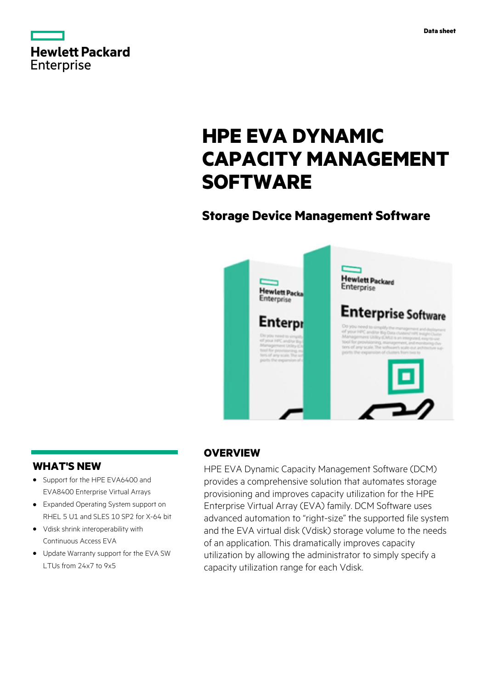

|            | <b>Hewlett Packard</b> |
|------------|------------------------|
|            |                        |
| Enterprise |                        |

# **HPE EVA DYNAMIC CAPACITY MANAGEMENT SOFTWARE**

# **Storage Device Management Software**



# **WHAT'S NEW**

- **·** Support for the HPE EVA6400 and EVA8400 Enterprise Virtual Arrays
- **·** Expanded Operating System support on RHFL 5 U1 and SLES 10 SP2 for X-64 bit
- **·** Vdisk shrink interoperability with Continuous Access EVA
- **·** Update Warranty support for the EVA SW LTUs from 24x7 to 9x5

# **OVERVIEW**

HPE EVA Dynamic Capacity Management Software (DCM) provides a comprehensive solution that automates storage provisioning and improves capacity utilization for the HPE Enterprise Virtual Array (EVA) family. DCM Software uses advanced automation to "right-size" the supported file system and the EVA virtual disk (Vdisk) storage volume to the needs of an application. This dramatically improves capacity utilization by allowing the administrator to simply specify a capacity utilization range for each Vdisk.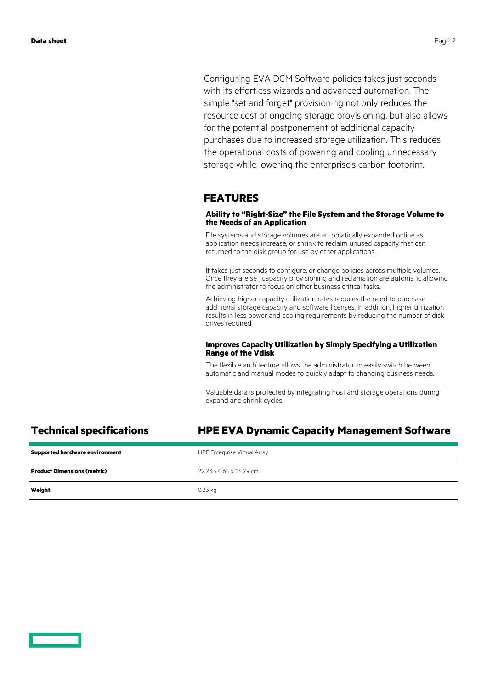Configuring EVA DCM Software policies takes just seconds with its effortless wizards and advanced automation. The simple "set and forget" provisioning not only reduces the resource cost of ongoing storage provisioning, but also allows for the potential postponement of additional capacity purchases due to increased storage utilization. This reduces the operational costs of powering and cooling unnecessary storage while lowering the enterprise's carbon footprint.

### **FEATURES**

### **Ability to "Right-Size" the File System and the Storage Volume to the Needs of an Application**

File systems and storage volumes are automatically expanded online as application needs increase, or shrink to reclaim unused capacity that can returned to the disk group for use by other applications.

It takes just seconds to configure, or change policies across multiple volumes. Once they are set, capacity provisioning and reclamation are automatic allowing the administrator to focus on other business critical tasks.

Achieving higher capacity utilization rates reduces the need to purchase additional storage capacity and software licenses. In addition, higher utilization results in less power and cooling requirements by reducing the number of disk drives required.

### **Improves Capacity Utilization by Simply Specifying a Utilization Range of the Vdisk**

The flexible architecture allows the administrator to easily switch between automatic and manual modes to quickly adapt to changing business needs.

Valuable data is protected by integrating host and storage operations during expand and shrink cycles.

### **Technical specifications HPE EVA Dynamic Capacity Management Software**

| <b>Supported hardware environment</b> | HPE Enterprise Virtual Array |
|---------------------------------------|------------------------------|
| <b>Product Dimensions (metric)</b>    | 22.23 x 0.64 x 14.29 cm      |
| Weight                                | 0.23 kg                      |